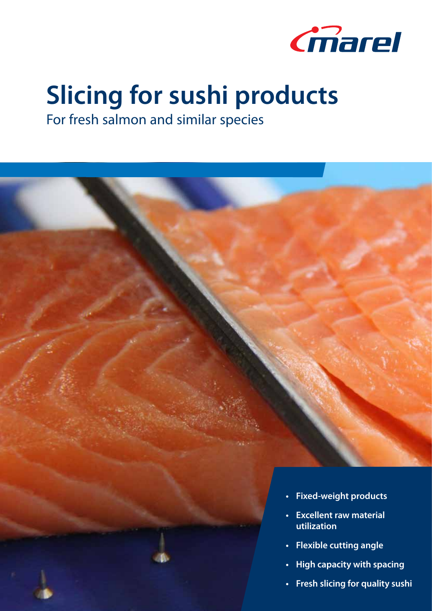

# **Slicing for sushi products**

For fresh salmon and similar species



- **• Excellent raw material utilization**
- **• Flexible cutting angle**
- **• High capacity with spacing**
- **• Fresh slicing for quality sushi**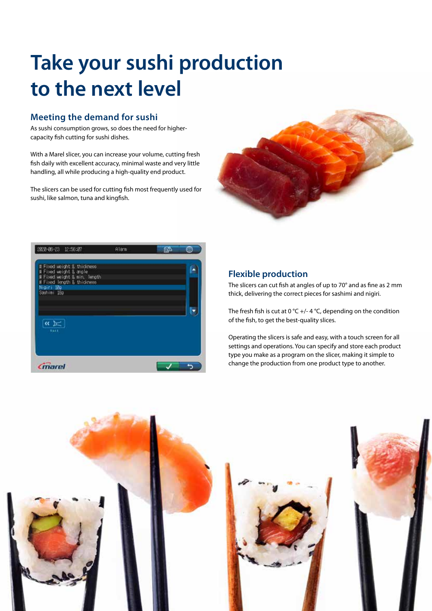### **Take your sushi production to the next level**

#### **Meeting the demand for sushi**

As sushi consumption grows, so does the need for highercapacity fish cutting for sushi dishes.

With a Marel slicer, you can increase your volume, cutting fresh fish daily with excellent accuracy, minimal waste and very little handling, all while producing a high-quality end product.

The slicers can be used for cutting fish most frequently used for sushi, like salmon, tuna and kingfish.



| 2020-06-23 12:56:07                                  | Alarm | Œ |  |
|------------------------------------------------------|-------|---|--|
| # Fixed weight & thickness<br># Fixed weight & angle |       |   |  |
| # Fixed weight & min, length                         |       |   |  |
| # Fixed length & thickness<br>Nigiri 10g             |       |   |  |
| Sashini 18g                                          |       |   |  |
|                                                      |       |   |  |
|                                                      |       |   |  |
| « ⊭                                                  |       |   |  |
| $T = 11$                                             |       |   |  |
|                                                      |       |   |  |
|                                                      |       |   |  |
|                                                      |       |   |  |
| marel                                                |       |   |  |

#### **Flexible production**

The slicers can cut fish at angles of up to 70° and as fine as 2 mm thick, delivering the correct pieces for sashimi and nigiri.

The fresh fish is cut at 0 °C +/- 4 °C, depending on the condition of the fish, to get the best-quality slices.

Operating the slicers is safe and easy, with a touch screen for all settings and operations. You can specify and store each product type you make as a program on the slicer, making it simple to change the production from one product type to another.

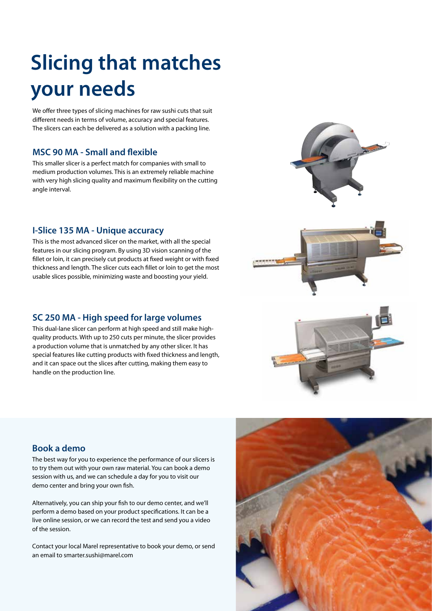## **Slicing that matches your needs**

We offer three types of slicing machines for raw sushi cuts that suit different needs in terms of volume, accuracy and special features. The slicers can each be delivered as a solution with a packing line.

#### **MSC 90 MA - Small and flexible**

This smaller slicer is a perfect match for companies with small to medium production volumes. This is an extremely reliable machine with very high slicing quality and maximum flexibility on the cutting angle interval.

#### **I-Slice 135 MA - Unique accuracy**

This is the most advanced slicer on the market, with all the special features in our slicing program. By using 3D vision scanning of the fillet or loin, it can precisely cut products at fixed weight or with fixed thickness and length. The slicer cuts each fillet or loin to get the most usable slices possible, minimizing waste and boosting your yield.

#### **SC 250 MA - High speed for large volumes**

This dual-lane slicer can perform at high speed and still make highquality products. With up to 250 cuts per minute, the slicer provides a production volume that is unmatched by any other slicer. It has special features like cutting products with fixed thickness and length, and it can space out the slices after cutting, making them easy to handle on the production line.







#### **Book a demo**

The best way for you to experience the performance of our slicers is to try them out with your own raw material. You can book a demo session with us, and we can schedule a day for you to visit our demo center and bring your own fish.

Alternatively, you can ship your fish to our demo center, and we'll perform a demo based on your product specifications. It can be a live online session, or we can record the test and send you a video of the session.

Contact your local Marel representative to book your demo, or send an email to smarter.sushi@marel.com

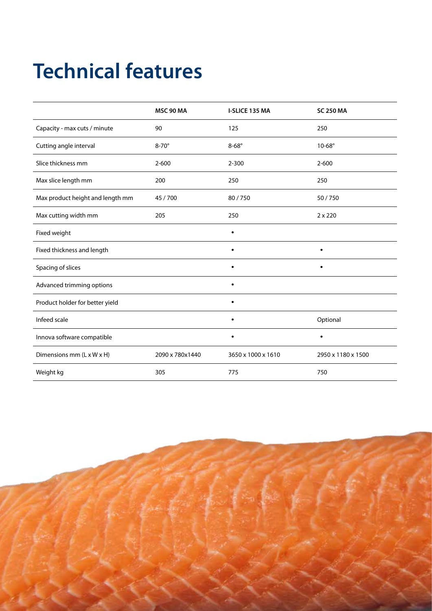### **Technical features**

|                                  | <b>MSC 90 MA</b> | <b>I-SLICE 135 MA</b> | <b>SC 250 MA</b>   |
|----------------------------------|------------------|-----------------------|--------------------|
| Capacity - max cuts / minute     | 90               | 125                   | 250                |
| Cutting angle interval           | $8-70^\circ$     | $8-68^\circ$          | $10-68^\circ$      |
| Slice thickness mm               | $2 - 600$        | $2 - 300$             | $2 - 600$          |
| Max slice length mm              | 200              | 250                   | 250                |
| Max product height and length mm | 45/700           | 80/750                | 50/750             |
| Max cutting width mm             | 205              | 250                   | $2 \times 220$     |
| Fixed weight                     |                  | $\bullet$             |                    |
| Fixed thickness and length       |                  |                       |                    |
| Spacing of slices                |                  |                       |                    |
| Advanced trimming options        |                  | $\bullet$             |                    |
| Product holder for better yield  |                  | $\bullet$             |                    |
| Infeed scale                     |                  |                       | Optional           |
| Innova software compatible       |                  | $\bullet$             | $\bullet$          |
| Dimensions mm (L x W x H)        | 2090 x 780x1440  | 3650 x 1000 x 1610    | 2950 x 1180 x 1500 |
| Weight kg                        | 305              | 775                   | 750                |

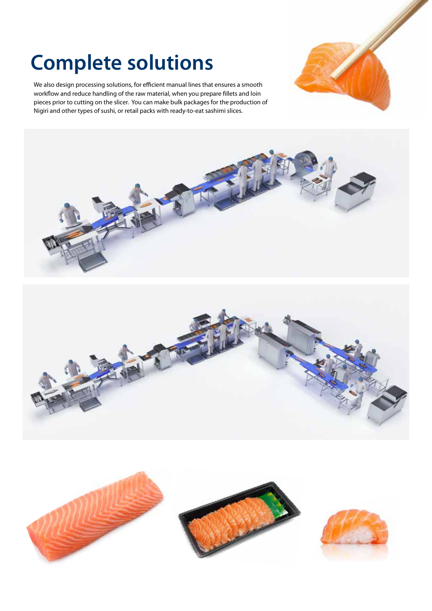### **Complete solutions**

We also design processing solutions, for efficient manual lines that ensures a smooth workflow and reduce handling of the raw material, when you prepare fillets and loin pieces prior to cutting on the slicer. You can make bulk packages for the production of Nigiri and other types of sushi, or retail packs with ready-to-eat sashimi slices.